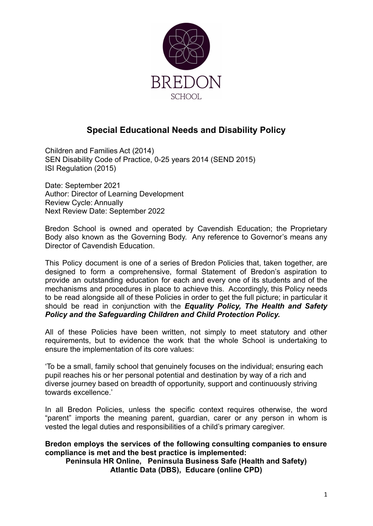

# **Special Educational Needs and Disability Policy**

Children and Families Act (2014) SEN Disability Code of Practice, 0-25 years 2014 (SEND 2015) ISI Regulation (2015)

Date: September 2021 Author: Director of Learning Development Review Cycle: Annually Next Review Date: September 2022

Bredon School is owned and operated by Cavendish Education; the Proprietary Body also known as the Governing Body. Any reference to Governor's means any Director of Cavendish Education.

This Policy document is one of a series of Bredon Policies that, taken together, are designed to form a comprehensive, formal Statement of Bredon's aspiration to provide an outstanding education for each and every one of its students and of the mechanisms and procedures in place to achieve this. Accordingly, this Policy needs to be read alongside all of these Policies in order to get the full picture; in particular it should be read in conjunction with the *Equality Policy, The Health and Safety Policy and the Safeguarding Children and Child Protection Policy.*

All of these Policies have been written, not simply to meet statutory and other requirements, but to evidence the work that the whole School is undertaking to ensure the implementation of its core values:

'To be a small, family school that genuinely focuses on the individual; ensuring each pupil reaches his or her personal potential and destination by way of a rich and diverse journey based on breadth of opportunity, support and continuously striving towards excellence.'

In all Bredon Policies, unless the specific context requires otherwise, the word "parent" imports the meaning parent, guardian, carer or any person in whom is vested the legal duties and responsibilities of a child's primary caregiver.

#### **Bredon employs the services of the following consulting companies to ensure compliance is met and the best practice is implemented: Peninsula HR Online, Peninsula Business Safe (Health and Safety)**

**Atlantic Data (DBS), Educare (online CPD)**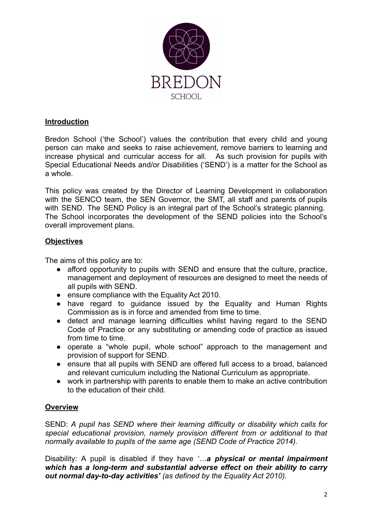

## **Introduction**

Bredon School ('the School') values the contribution that every child and young person can make and seeks to raise achievement, remove barriers to learning and increase physical and curricular access for all. As such provision for pupils with Special Educational Needs and/or Disabilities ('SEND') is a matter for the School as a whole.

This policy was created by the Director of Learning Development in collaboration with the SENCO team, the SEN Governor, the SMT, all staff and parents of pupils with SEND. The SEND Policy is an integral part of the School's strategic planning. The School incorporates the development of the SEND policies into the School's overall improvement plans.

## **Objectives**

The aims of this policy are to:

- afford opportunity to pupils with SEND and ensure that the culture, practice, management and deployment of resources are designed to meet the needs of all pupils with SEND.
- ensure compliance with the Equality Act 2010.
- have regard to guidance issued by the Equality and Human Rights Commission as is in force and amended from time to time.
- detect and manage learning difficulties whilst having regard to the SEND Code of Practice or any substituting or amending code of practice as issued from time to time.
- operate a "whole pupil, whole school" approach to the management and provision of support for SEND.
- ensure that all pupils with SEND are offered full access to a broad, balanced and relevant curriculum including the National Curriculum as appropriate.
- work in partnership with parents to enable them to make an active contribution to the education of their child.

## **Overview**

SEND: *A pupil has SEND where their learning difficulty or disability which calls for special educational provision, namely provision different from or additional to that normally available to pupils of the same age (SEND Code of Practice 2014).*

Disability: A pupil is disabled if they have *'…a physical or mental impairment which has a long-term and substantial adverse effect on their ability to carry out normal day-to-day activities' (as defined by the Equality Act 2010).*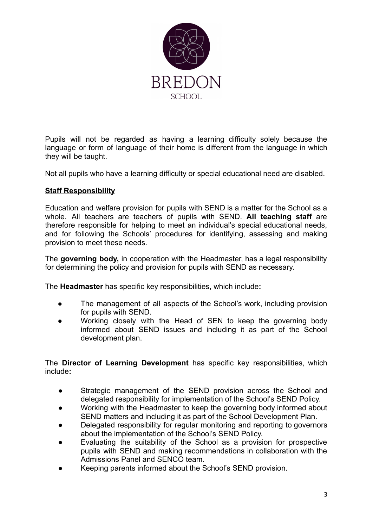

Pupils will not be regarded as having a learning difficulty solely because the language or form of language of their home is different from the language in which they will be taught.

Not all pupils who have a learning difficulty or special educational need are disabled.

# **Staff Responsibility**

Education and welfare provision for pupils with SEND is a matter for the School as a whole. All teachers are teachers of pupils with SEND. **All teaching staff** are therefore responsible for helping to meet an individual's special educational needs, and for following the Schools' procedures for identifying, assessing and making provision to meet these needs.

The **governing body,** in cooperation with the Headmaster, has a legal responsibility for determining the policy and provision for pupils with SEND as necessary.

The **Headmaster** has specific key responsibilities, which include**:**

- The management of all aspects of the School's work, including provision for pupils with SEND.
- Working closely with the Head of SEN to keep the governing body informed about SEND issues and including it as part of the School development plan.

The **Director of Learning Development** has specific key responsibilities, which include**:**

- Strategic management of the SEND provision across the School and delegated responsibility for implementation of the School's SEND Policy.
- Working with the Headmaster to keep the governing body informed about SEND matters and including it as part of the School Development Plan.
- Delegated responsibility for regular monitoring and reporting to governors about the implementation of the School's SEND Policy.
- Evaluating the suitability of the School as a provision for prospective pupils with SEND and making recommendations in collaboration with the Admissions Panel and SENCO team.
- Keeping parents informed about the School's SEND provision.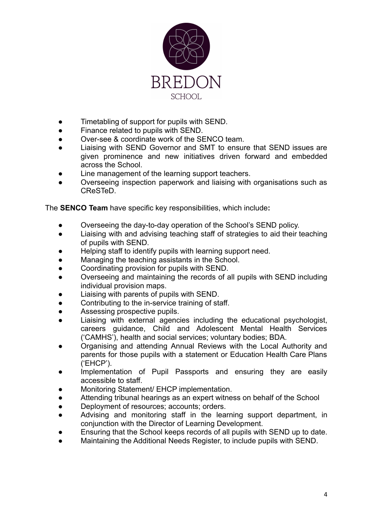

- Timetabling of support for pupils with SEND.
- Finance related to pupils with SEND.
- Over-see & coordinate work of the SENCO team.
- Liaising with SEND Governor and SMT to ensure that SEND issues are given prominence and new initiatives driven forward and embedded across the School.
- Line management of the learning support teachers.
- Overseeing inspection paperwork and liaising with organisations such as CReSTeD.

The **SENCO Team** have specific key responsibilities, which include**:**

- Overseeing the day-to-day operation of the School's SEND policy.
- Liaising with and advising teaching staff of strategies to aid their teaching of pupils with SEND.
- Helping staff to identify pupils with learning support need.
- Managing the teaching assistants in the School.
- Coordinating provision for pupils with SEND.
- Overseeing and maintaining the records of all pupils with SEND including individual provision maps.
- Liaising with parents of pupils with SEND.
- Contributing to the in-service training of staff.
- Assessing prospective pupils.
- Liaising with external agencies including the educational psychologist, careers guidance, Child and Adolescent Mental Health Services ('CAMHS'), health and social services; voluntary bodies; BDA.
- **●** Organising and attending Annual Reviews with the Local Authority and parents for those pupils with a statement or Education Health Care Plans ('EHCP').
- Implementation of Pupil Passports and ensuring they are easily accessible to staff.
- **Monitoring Statement/ EHCP implementation.**
- **●** Attending tribunal hearings as an expert witness on behalf of the School
- Deployment of resources; accounts; orders.
- **●** Advising and monitoring staff in the learning support department, in conjunction with the Director of Learning Development.
- Ensuring that the School keeps records of all pupils with SEND up to date.
- Maintaining the Additional Needs Register, to include pupils with SEND.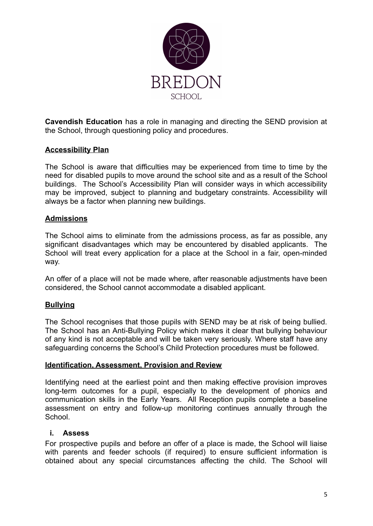

**Cavendish Education** has a role in managing and directing the SEND provision at the School, through questioning policy and procedures.

## **Accessibility Plan**

The School is aware that difficulties may be experienced from time to time by the need for disabled pupils to move around the school site and as a result of the School buildings. The School's Accessibility Plan will consider ways in which accessibility may be improved, subject to planning and budgetary constraints. Accessibility will always be a factor when planning new buildings.

#### **Admissions**

The School aims to eliminate from the admissions process, as far as possible, any significant disadvantages which may be encountered by disabled applicants. The School will treat every application for a place at the School in a fair, open-minded way.

An offer of a place will not be made where, after reasonable adjustments have been considered, the School cannot accommodate a disabled applicant.

## **Bullying**

The School recognises that those pupils with SEND may be at risk of being bullied. The School has an Anti-Bullying Policy which makes it clear that bullying behaviour of any kind is not acceptable and will be taken very seriously. Where staff have any safeguarding concerns the School's Child Protection procedures must be followed.

#### **Identification, Assessment, Provision and Review**

Identifying need at the earliest point and then making effective provision improves long-term outcomes for a pupil, especially to the development of phonics and communication skills in the Early Years. All Reception pupils complete a baseline assessment on entry and follow-up monitoring continues annually through the School.

#### **i. Assess**

For prospective pupils and before an offer of a place is made, the School will liaise with parents and feeder schools (if required) to ensure sufficient information is obtained about any special circumstances affecting the child. The School will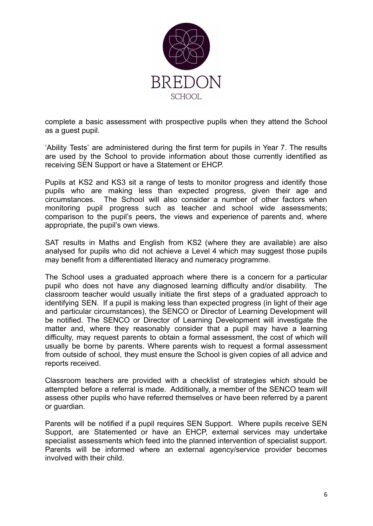

complete a basic assessment with prospective pupils when they attend the School as a guest pupil.

'Ability Tests' are administered during the first term for pupils in Year 7. The results are used by the School to provide information about those currently identified as receiving SEN Support or have a Statement or EHCP.

Pupils at KS2 and KS3 sit a range of tests to monitor progress and identify those pupils who are making less than expected progress, given their age and circumstances. The School will also consider a number of other factors when monitoring pupil progress such as teacher and school wide assessments; comparison to the pupil's peers, the views and experience of parents and, where appropriate, the pupil's own views.

SAT results in Maths and English from KS2 (where they are available) are also analysed for pupils who did not achieve a Level 4 which may suggest those pupils may benefit from a differentiated literacy and numeracy programme.

The School uses a graduated approach where there is a concern for a particular pupil who does not have any diagnosed learning difficulty and/or disability. The classroom teacher would usually initiate the first steps of a graduated approach to identifying SEN. If a pupil is making less than expected progress (in light of their age and particular circumstances), the SENCO or Director of Learning Development will be notified. The SENCO or Director of Learning Development will investigate the matter and, where they reasonably consider that a pupil may have a learning difficulty, may request parents to obtain a formal assessment, the cost of which will usually be borne by parents. Where parents wish to request a formal assessment from outside of school, they must ensure the School is given copies of all advice and reports received.

Classroom teachers are provided with a checklist of strategies which should be attempted before a referral is made. Additionally, a member of the SENCO team will assess other pupils who have referred themselves or have been referred by a parent or guardian.

Parents will be notified if a pupil requires SEN Support. Where pupils receive SEN Support, are Statemented or have an EHCP, external services may undertake specialist assessments which feed into the planned intervention of specialist support. Parents will be informed where an external agency/service provider becomes involved with their child.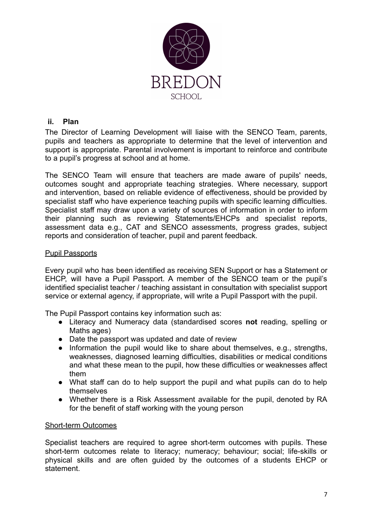

## **ii. Plan**

The Director of Learning Development will liaise with the SENCO Team, parents, pupils and teachers as appropriate to determine that the level of intervention and support is appropriate. Parental involvement is important to reinforce and contribute to a pupil's progress at school and at home.

The SENCO Team will ensure that teachers are made aware of pupils' needs, outcomes sought and appropriate teaching strategies. Where necessary, support and intervention, based on reliable evidence of effectiveness, should be provided by specialist staff who have experience teaching pupils with specific learning difficulties. Specialist staff may draw upon a variety of sources of information in order to inform their planning such as reviewing Statements/EHCPs and specialist reports, assessment data e.g., CAT and SENCO assessments, progress grades, subject reports and consideration of teacher, pupil and parent feedback.

#### Pupil Passports

Every pupil who has been identified as receiving SEN Support or has a Statement or EHCP, will have a Pupil Passport. A member of the SENCO team or the pupil's identified specialist teacher / teaching assistant in consultation with specialist support service or external agency, if appropriate, will write a Pupil Passport with the pupil.

The Pupil Passport contains key information such as:

- Literacy and Numeracy data (standardised scores **not** reading, spelling or Maths ages)
- Date the passport was updated and date of review
- Information the pupil would like to share about themselves, e.g., strengths, weaknesses, diagnosed learning difficulties, disabilities or medical conditions and what these mean to the pupil, how these difficulties or weaknesses affect them
- What staff can do to help support the pupil and what pupils can do to help themselves
- Whether there is a Risk Assessment available for the pupil, denoted by RA for the benefit of staff working with the young person

#### Short-term Outcomes

Specialist teachers are required to agree short-term outcomes with pupils. These short-term outcomes relate to literacy; numeracy; behaviour; social; life-skills or physical skills and are often guided by the outcomes of a students EHCP or statement.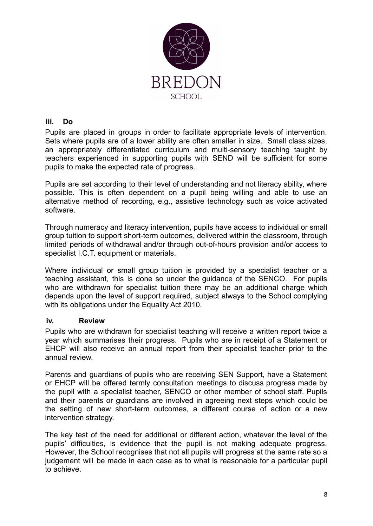

## **iii. Do**

Pupils are placed in groups in order to facilitate appropriate levels of intervention. Sets where pupils are of a lower ability are often smaller in size. Small class sizes, an appropriately differentiated curriculum and multi-sensory teaching taught by teachers experienced in supporting pupils with SEND will be sufficient for some pupils to make the expected rate of progress.

Pupils are set according to their level of understanding and not literacy ability, where possible. This is often dependent on a pupil being willing and able to use an alternative method of recording, e.g., assistive technology such as voice activated software.

Through numeracy and literacy intervention, pupils have access to individual or small group tuition to support short-term outcomes, delivered within the classroom, through limited periods of withdrawal and/or through out-of-hours provision and/or access to specialist I.C.T. equipment or materials.

Where individual or small group tuition is provided by a specialist teacher or a teaching assistant, this is done so under the guidance of the SENCO. For pupils who are withdrawn for specialist tuition there may be an additional charge which depends upon the level of support required, subject always to the School complying with its obligations under the Equality Act 2010.

## **iv. Review**

Pupils who are withdrawn for specialist teaching will receive a written report twice a year which summarises their progress. Pupils who are in receipt of a Statement or EHCP will also receive an annual report from their specialist teacher prior to the annual review.

Parents and guardians of pupils who are receiving SEN Support, have a Statement or EHCP will be offered termly consultation meetings to discuss progress made by the pupil with a specialist teacher, SENCO or other member of school staff. Pupils and their parents or guardians are involved in agreeing next steps which could be the setting of new short-term outcomes, a different course of action or a new intervention strategy.

The key test of the need for additional or different action, whatever the level of the pupils' difficulties, is evidence that the pupil is not making adequate progress. However, the School recognises that not all pupils will progress at the same rate so a judgement will be made in each case as to what is reasonable for a particular pupil to achieve.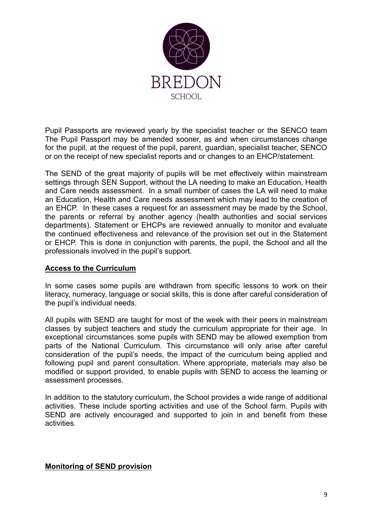

Pupil Passports are reviewed yearly by the specialist teacher or the SENCO team The Pupil Passport may be amended sooner, as and when circumstances change for the pupil, at the request of the pupil, parent, guardian, specialist teacher, SENCO or on the receipt of new specialist reports and or changes to an EHCP/statement.

The SEND of the great majority of pupils will be met effectively within mainstream settings through SEN Support, without the LA needing to make an Education, Health and Care needs assessment. In a small number of cases the LA will need to make an Education, Health and Care needs assessment which may lead to the creation of an EHCP. In these cases a request for an assessment may be made by the School, the parents or referral by another agency (health authorities and social services departments). Statement or EHCPs are reviewed annually to monitor and evaluate the continued effectiveness and relevance of the provision set out in the Statement or EHCP. This is done in conjunction with parents, the pupil, the School and all the professionals involved in the pupil's support.

## **Access to the Curriculum**

In some cases some pupils are withdrawn from specific lessons to work on their literacy, numeracy, language or social skills, this is done after careful consideration of the pupil's individual needs.

All pupils with SEND are taught for most of the week with their peers in mainstream classes by subject teachers and study the curriculum appropriate for their age. In exceptional circumstances some pupils with SEND may be allowed exemption from parts of the National Curriculum. This circumstance will only arise after careful consideration of the pupil's needs, the impact of the curriculum being applied and following pupil and parent consultation. Where appropriate, materials may also be modified or support provided, to enable pupils with SEND to access the learning or assessment processes.

In addition to the statutory curriculum, the School provides a wide range of additional activities. These include sporting activities and use of the School farm. Pupils with SEND are actively encouraged and supported to join in and benefit from these activities.

#### **Monitoring of SEND provision**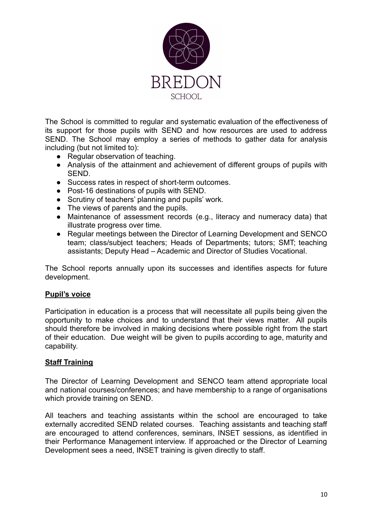

The School is committed to regular and systematic evaluation of the effectiveness of its support for those pupils with SEND and how resources are used to address SEND. The School may employ a series of methods to gather data for analysis including (but not limited to):

- Regular observation of teaching.
- Analysis of the attainment and achievement of different groups of pupils with SEND.
- Success rates in respect of short-term outcomes.
- Post-16 destinations of pupils with SEND.
- Scrutiny of teachers' planning and pupils' work.
- The views of parents and the pupils.
- Maintenance of assessment records (e.g., literacy and numeracy data) that illustrate progress over time.
- Regular meetings between the Director of Learning Development and SENCO team; class/subject teachers; Heads of Departments; tutors; SMT; teaching assistants; Deputy Head – Academic and Director of Studies Vocational.

The School reports annually upon its successes and identifies aspects for future development.

#### **Pupil's voice**

Participation in education is a process that will necessitate all pupils being given the opportunity to make choices and to understand that their views matter. All pupils should therefore be involved in making decisions where possible right from the start of their education. Due weight will be given to pupils according to age, maturity and capability.

#### **Staff Training**

The Director of Learning Development and SENCO team attend appropriate local and national courses/conferences; and have membership to a range of organisations which provide training on SEND.

All teachers and teaching assistants within the school are encouraged to take externally accredited SEND related courses. Teaching assistants and teaching staff are encouraged to attend conferences, seminars, INSET sessions, as identified in their Performance Management interview. If approached or the Director of Learning Development sees a need, INSET training is given directly to staff.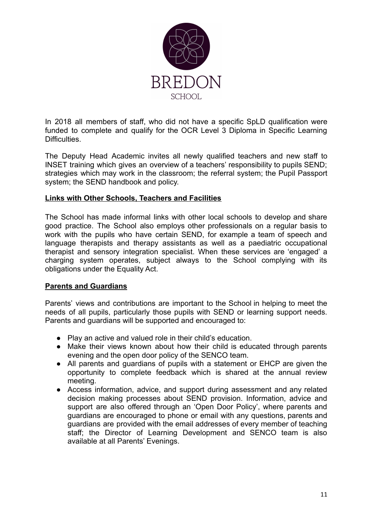

In 2018 all members of staff, who did not have a specific SpLD qualification were funded to complete and qualify for the OCR Level 3 Diploma in Specific Learning Difficulties.

The Deputy Head Academic invites all newly qualified teachers and new staff to INSET training which gives an overview of a teachers' responsibility to pupils SEND; strategies which may work in the classroom; the referral system; the Pupil Passport system; the SEND handbook and policy.

#### **Links with Other Schools, Teachers and Facilities**

The School has made informal links with other local schools to develop and share good practice. The School also employs other professionals on a regular basis to work with the pupils who have certain SEND, for example a team of speech and language therapists and therapy assistants as well as a paediatric occupational therapist and sensory integration specialist. When these services are 'engaged' a charging system operates, subject always to the School complying with its obligations under the Equality Act.

## **Parents and Guardians**

Parents' views and contributions are important to the School in helping to meet the needs of all pupils, particularly those pupils with SEND or learning support needs. Parents and guardians will be supported and encouraged to:

- Play an active and valued role in their child's education.
- Make their views known about how their child is educated through parents evening and the open door policy of the SENCO team.
- All parents and guardians of pupils with a statement or EHCP are given the opportunity to complete feedback which is shared at the annual review meeting.
- Access information, advice, and support during assessment and any related decision making processes about SEND provision. Information, advice and support are also offered through an 'Open Door Policy', where parents and guardians are encouraged to phone or email with any questions, parents and guardians are provided with the email addresses of every member of teaching staff; the Director of Learning Development and SENCO team is also available at all Parents' Evenings.